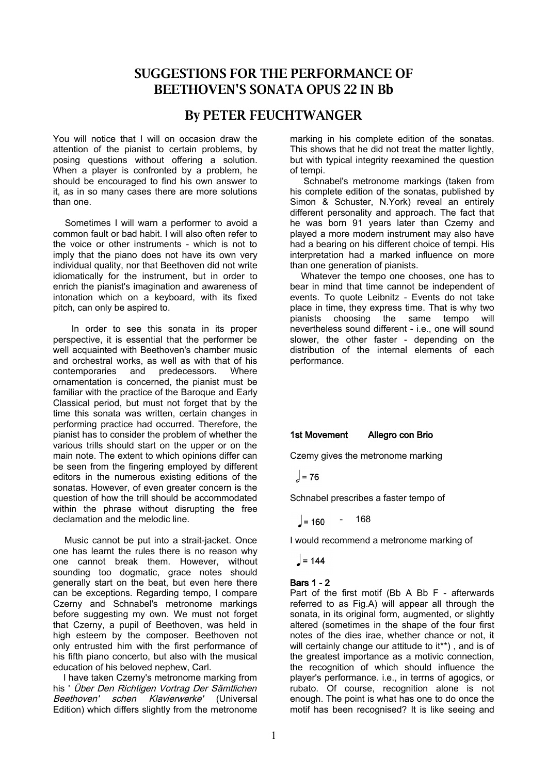# **SUGGESTIONS FOR THE PERFORMANCE OF BEETHOVEN'S SONATA OPUS 22 IN Bb**

# **By PETER FEUCHTWANGER**

You will notice that I will on occasion draw the attention of the pianist to certain problems, by posing questions without offering a solution. When a player is confronted by a problem, he should be encouraged to find his own answer to it, as in so many cases there are more solutions than one.

 Sometimes I will warn a performer to avoid a common fault or bad habit. I will also often refer to the voice or other instruments - which is not to imply that the piano does not have its own very individual quality, nor that Beethoven did not write idiomatically for the instrument, but in order to enrich the pianist's imagination and awareness of intonation which on a keyboard, with its fixed pitch, can only be aspired to.

 In order to see this sonata in its proper perspective, it is essential that the performer be well acquainted with Beethoven's chamber music and orchestral works, as well as with that of his contemporaries and predecessors. Where ornamentation is concerned, the pianist must be familiar with the practice of the Baroque and Early Classical period, but must not forget that by the time this sonata was written, certain changes in performing practice had occurred. Therefore, the pianist has to consider the problem of whether the various trills should start on the upper or on the main note. The extent to which opinions differ can be seen from the fingering employed by different editors in the numerous existing editions of the sonatas. However, of even greater concern is the question of how the trill should be accommodated within the phrase without disrupting the free declamation and the melodic line.

 Music cannot be put into a strait-jacket. Once one has learnt the rules there is no reason why one cannot break them. However, without sounding too dogmatic, grace notes should generally start on the beat, but even here there can be exceptions. Regarding tempo, I compare Czerny and Schnabel's metronome markings before suggesting my own. We must not forget that Czerny, a pupil of Beethoven, was held in high esteem by the composer. Beethoven not only entrusted him with the first performance of his fifth piano concerto, but also with the musical education of his beloved nephew, Carl.

 I have taken Czerny's metronome marking from his ' Über Den Richtigen Vortrag Der Sämtlichen Beethoven' schen Klavierwerke' (Universal Edition) which differs slightly from the metronome

marking in his complete edition of the sonatas. This shows that he did not treat the matter lightly, but with typical integrity reexamined the question of tempi.

 Schnabel's metronome markings (taken from his complete edition of the sonatas, published by Simon & Schuster, N.York) reveal an entirely different personality and approach. The fact that he was born 91 years later than Czemy and played a more modern instrument may also have had a bearing on his different choice of tempi. His interpretation had a marked influence on more than one generation of pianists.

 Whatever the tempo one chooses, one has to bear in mind that time cannot be independent of events. To quote Leibnitz - Events do not take place in time, they express time. That is why two pianists choosing the same tempo will nevertheless sound different - i.e., one will sound slower, the other faster - depending on the distribution of the internal elements of each performance.

## 1st Movement Allegro con Brio

Czemy gives the metronome marking

$$
_{o} = 76
$$

Schnabel prescribes a faster tempo of

- 168  $= 160$ 

I would recommend a metronome marking of

$$
= 144
$$

## Bars 1 - 2

Part of the first motif (Bb A Bb F - afterwards referred to as Fig.A) will appear all through the sonata, in its original form, augmented, or slightly altered (sometimes in the shape of the four first notes of the dies irae, whether chance or not, it will certainly change our attitude to it\*\*), and is of the greatest importance as a motivic connection, the recognition of which should influence the player's performance. i.e., in terrns of agogics, or rubato. Of course, recognition alone is not enough. The point is what has one to do once the motif has been recognised? It is like seeing and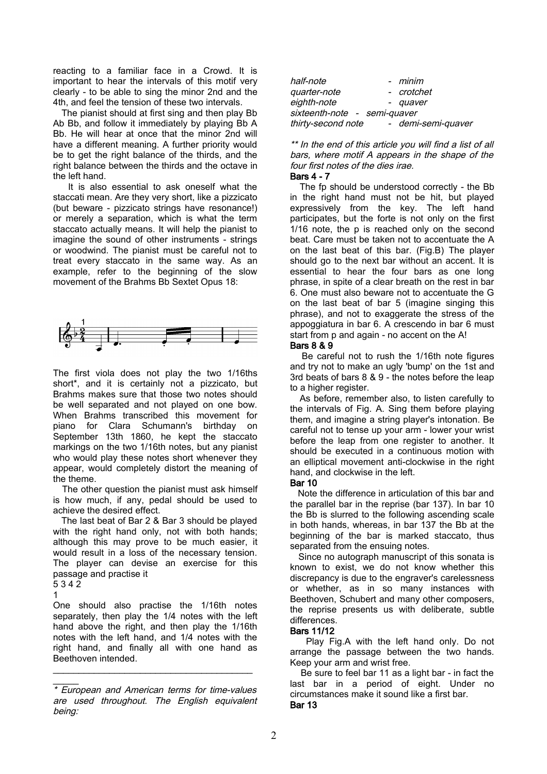reacting to a familiar face in a Crowd. It is important to hear the intervals of this motif very clearly - to be able to sing the minor 2nd and the 4th, and feel the tension of these two intervals.

 The pianist should at first sing and then play Bb Ab Bb, and follow it immediately by playing Bb A Bb. He will hear at once that the minor 2nd will have a different meaning. A further priority would be to get the right balance of the thirds, and the right balance between the thirds and the octave in the left hand.

 It is also essential to ask oneself what the staccati mean. Are they very short, like a pizzicato (but beware - pizzicato strings have resonance!) or merely a separation, which is what the term staccato actually means. It will help the pianist to imagine the sound of other instruments - strings or woodwind. The pianist must be careful not to treat every staccato in the same way. As an example, refer to the beginning of the slow movement of the Brahms Bb Sextet Opus 18:



The first viola does not play the two 1/16ths short\*, and it is certainly not a pizzicato, but Brahms makes sure that those two notes should be well separated and not played on one bow. When Brahms transcribed this movement for piano for Clara Schumann's birthday on September 13th 1860, he kept the staccato markings on the two 1/16th notes, but any pianist who would play these notes short whenever they appear, would completely distort the meaning of the theme.

 The other question the pianist must ask himself is how much, if any, pedal should be used to achieve the desired effect.

 The last beat of Bar 2 & Bar 3 should be played with the right hand only, not with both hands; although this may prove to be much easier, it would result in a loss of the necessary tension. The player can devise an exercise for this passage and practise it 5 3 4 2

1

 $\overline{\phantom{a}}$ 

One should also practise the 1/16th notes separately, then play the 1/4 notes with the left hand above the right, and then play the 1/16th notes with the left hand, and 1/4 notes with the right hand, and finally all with one hand as Beethoven intended.

\_\_\_\_\_\_\_\_\_\_\_\_\_\_\_\_\_\_\_\_\_\_\_\_\_\_\_\_\_\_\_\_\_\_\_\_\_\_\_

| half-note                    | - <i>minim</i>  |                    |
|------------------------------|-----------------|--------------------|
| quarter-note                 |                 | - crotchet         |
| eighth-note                  | - <i>quaver</i> |                    |
| sixteenth-note - semi-quaver |                 |                    |
| thirty-second note           |                 | - demi-semi-quaver |

\*\* In the end of this article you will find a list of all bars, where motif A appears in the shape of the four first notes of the dies irae.

#### Bars 4 - 7

 The fp should be understood correctly - the Bb in the right hand must not be hit, but played expressively from the key. The left hand participates, but the forte is not only on the first 1/16 note, the p is reached only on the second beat. Care must be taken not to accentuate the A on the last beat of this bar. (Fig.B) The player should go to the next bar without an accent. It is essential to hear the four bars as one long phrase, in spite of a clear breath on the rest in bar 6. One must also beware not to accentuate the G on the last beat of bar 5 (imagine singing this phrase), and not to exaggerate the stress of the appoggiatura in bar 6. A crescendo in bar 6 must start from p and again - no accent on the A!

#### Bars 8 & 9

 Be careful not to rush the 1/16th note figures and try not to make an ugly 'bump' on the 1st and 3rd beats of bars 8 & 9 - the notes before the leap to a higher register.

 As before, remember also, to listen carefully to the intervals of Fig. A. Sing them before playing them, and imagine a string player's intonation. Be careful not to tense up your arm - lower your wrist before the leap from one register to another. It should be executed in a continuous motion with an elliptical movement anti-clockwise in the right hand, and clockwise in the left.

#### Bar 10

 Note the difference in articulation of this bar and the parallel bar in the reprise (bar 137). In bar 10 the Bb is slurred to the following ascending scale in both hands, whereas, in bar 137 the Bb at the beginning of the bar is marked staccato, thus separated from the ensuing notes.

 Since no autograph manuscript of this sonata is known to exist, we do not know whether this discrepancy is due to the engraver's carelessness or whether, as in so many instances with Beethoven, Schubert and many other composers, the reprise presents us with deliberate, subtle differences.

## Bars 11/12

 Play Fig.A with the left hand only. Do not arrange the passage between the two hands. Keep your arm and wrist free.

 Be sure to feel bar 11 as a light bar - in fact the last bar in a period of eight. Under no circumstances make it sound like a first bar. Bar 13

<sup>\*</sup> European and American terms for time-values are used throughout. The English equivalent being: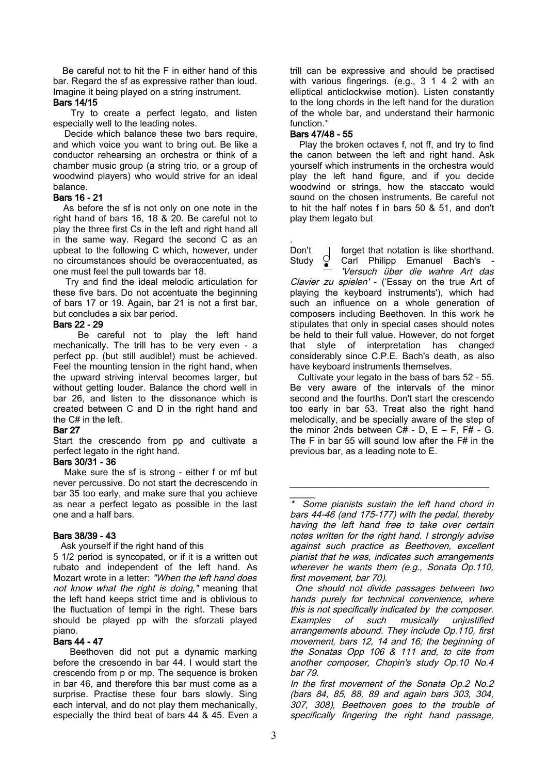Be careful not to hit the F in either hand of this bar. Regard the sf as expressive rather than loud. Imagine it being played on a string instrument.

#### Bars 14/15

 Try to create a perfect legato, and listen especially well to the leading notes.

 Decide which balance these two bars require, and which voice you want to bring out. Be like a conductor rehearsing an orchestra or think of a chamber music group (a string trio, or a group of woodwind players) who would strive for an ideal balance.

#### Bars 16 - 21

 As before the sf is not only on one note in the right hand of bars 16, 18 & 20. Be careful not to play the three first Cs in the left and right hand all in the same way. Regard the second C as an upbeat to the following C which, however, under no circumstances should be overaccentuated, as one must feel the pull towards bar 18.

 Try and find the ideal melodic articulation for these five bars. Do not accentuate the beginning of bars 17 or 19. Again, bar 21 is not a first bar, but concludes a six bar period.

## Bars 22 - 29

 Be careful not to play the left hand mechanically. The trill has to be very even - a perfect pp. (but still audible!) must be achieved. Feel the mounting tension in the right hand, when the upward striving interval becomes larger, but without getting louder. Balance the chord well in bar 26, and listen to the dissonance which is created between C and D in the right hand and the C# in the left.

#### Bar 27

Start the crescendo from pp and cultivate a perfect legato in the right hand.

#### Bars 30/31 - 36

 Make sure the sf is strong - either f or mf but never percussive. Do not start the decrescendo in bar 35 too early, and make sure that you achieve as near a perfect legato as possible in the last one and a half bars.

## Bars 38/39 - 43

Ask yourself if the right hand of this

5 1/2 period is syncopated, or if it is a written out rubato and independent of the left hand. As Mozart wrote in a letter: "When the left hand does not know what the right is doing," meaning that the left hand keeps strict time and is oblivious to the fluctuation of tempi in the right. These bars should be played pp with the sforzati played piano.

## Bars 44 - 47

 Beethoven did not put a dynamic marking before the crescendo in bar 44. I would start the crescendo from p or mp. The sequence is broken in bar 46, and therefore this bar must come as a surprise. Practise these four bars slowly. Sing each interval, and do not play them mechanically, especially the third beat of bars 44 & 45. Even a trill can be expressive and should be practised with various fingerings. (e.g., 3 1 4 2 with an elliptical anticlockwise motion). Listen constantly to the long chords in the left hand for the duration of the whole bar, and understand their harmonic function.\*

## Bars 47/48 - 55

 Play the broken octaves f, not ff, and try to find the canon between the left and right hand. Ask yourself which instruments in the orchestra would play the left hand figure, and if you decide woodwind or strings, how the staccato would sound on the chosen instruments. Be careful not to hit the half notes f in bars 50 & 51, and don't play them legato but

. Don't  $\bigcup_{\bullet}$  forget that notation is like shorthand.<br>Study  $\bigcirc_{\bullet}$  Carl Philipp Emanuel Bach's -

Study  $\bigcirc$  Carl Philipp Emanuel Bach's 'Versuch über die wahre Art das Clavier zu spielen' - ('Essay on the true Art of playing the keyboard instruments'), which had such an influence on a whole generation of composers including Beethoven. In this work he stipulates that only in special cases should notes be held to their full value. However, do not forget that style of interpretation has changed considerably since C.P.E. Bach's death, as also have keyboard instruments themselves.

 Cultivate your legato in the bass of bars 52 - 55. Be very aware of the intervals of the minor second and the fourths. Don't start the crescendo too early in bar 53. Treat also the right hand melodically, and be specially aware of the step of the minor 2nds between  $C#$  - D, E – F, F# - G, The F in bar 55 will sound low after the F# in the previous bar, as a leading note to E.

 $\overline{\phantom{a}}$  , and the contribution of the contribution of the contribution of the contribution of the contribution of the contribution of the contribution of the contribution of the contribution of the contribution of the

 One should not divide passages between two hands purely for technical convenience, where this is not specifically indicated by the composer. Examples of such musically unjustified arrangements abound. They include Op.110, first movement, bars 12, 14 and 16; the beginning of the Sonatas Opp 106 & 111 and, to cite from another composer, Chopin's study Op.10 No.4 bar 79.

In the first movement of the Sonata Op.2 No.2 (bars 84, 85, 88, 89 and again bars 303, 304, 307, 308), Beethoven goes to the trouble of specifically fingering the right hand passage,

<sup>\*</sup> Some pianists sustain the left hand chord in bars 44-46 (and 175-177) with the pedal, thereby having the left hand free to take over certain notes written for the right hand. I strongly advise against such practice as Beethoven, excellent pianist that he was, indicates such arrangements wherever he wants them (e.g., Sonata Op.110, first movement, bar 70).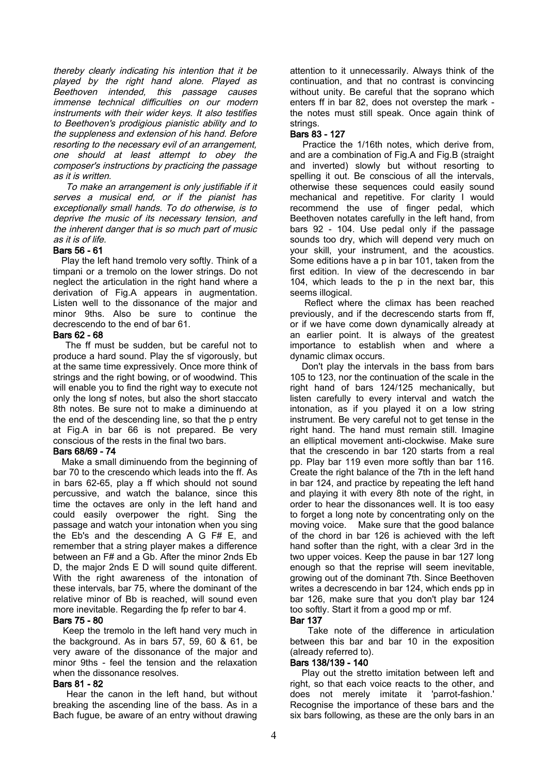thereby clearly indicating his intention that it be played by the right hand alone. Played as Beethoven intended, this passage causes immense technical difficulties on our modern instruments with their wider keys. It also testifies to Beethoven's prodigious pianistic ability and to the suppleness and extension of his hand. Before resorting to the necessary evil of an arrangement, one should at least attempt to obey the composer's instructions by practicing the passage as it is written.

 To make an arrangement is only justifiable if it serves <sup>a</sup> musical end, or if the pianist has exceptionally small hands. To do otherwise, is to deprive the music of its necessary tension, and the inherent danger that is so much part of music as it is of life.

#### Bars 56 - 61

 Play the left hand tremolo very softly. Think of a timpani or a tremolo on the lower strings. Do not neglect the articulation in the right hand where a derivation of Fig.A appears in augmentation. Listen well to the dissonance of the major and minor 9ths. Also be sure to continue the decrescendo to the end of bar 61.

#### Bars 62 - 68

 The ff must be sudden, but be careful not to produce a hard sound. Play the sf vigorously, but at the same time expressively. Once more think of strings and the right bowing, or of woodwind. This will enable you to find the right way to execute not only the long sf notes, but also the short staccato 8th notes. Be sure not to make a diminuendo at the end of the descending line, so that the p entry at Fig.A in bar 66 is not prepared. Be very conscious of the rests in the final two bars.

## Bars 68/69 - 74

 Make a small diminuendo from the beginning of bar 70 to the crescendo which leads into the ff. As in bars 62-65, play a ff which should not sound percussive, and watch the balance, since this time the octaves are only in the left hand and could easily overpower the right. Sing the passage and watch your intonation when you sing the Eb's and the descending A G F# E, and remember that a string player makes a difference between an F# and a Gb. After the minor 2nds Eb D, the major 2nds E D will sound quite different. With the right awareness of the intonation of these intervals, bar 75, where the dominant of the relative minor of Bb is reached, will sound even more inevitable. Regarding the fp refer to bar 4.

#### Bars 75 - 80

 Keep the tremolo in the left hand very much in the background. As in bars 57, 59, 60 & 61, be very aware of the dissonance of the major and minor 9ths - feel the tension and the relaxation when the dissonance resolves.

#### Bars 81 - 82

 Hear the canon in the left hand, but without breaking the ascending line of the bass. As in a Bach fugue, be aware of an entry without drawing attention to it unnecessarily. Always think of the continuation, and that no contrast is convincing without unity. Be careful that the soprano which enters ff in bar 82, does not overstep the mark the notes must still speak. Once again think of strings.

## Bars 83 - 127

 Practice the 1/16th notes, which derive from, and are a combination of Fig.A and Fig.B (straight and inverted) slowly but without resorting to spelling it out. Be conscious of all the intervals, otherwise these sequences could easily sound mechanical and repetitive. For clarity I would recommend the use of finger pedal, which Beethoven notates carefully in the left hand, from bars 92 - 104. Use pedal only if the passage sounds too dry, which will depend very much on your skill, your instrument, and the acoustics. Some editions have a p in bar 101, taken from the first edition. In view of the decrescendo in bar 104, which leads to the p in the next bar, this seems illogical.

 Reflect where the climax has been reached previously, and if the decrescendo starts from ff, or if we have come down dynamically already at an earlier point. It is always of the greatest importance to establish when and where a dynamic climax occurs.

 Don't play the intervals in the bass from bars 105 to 123, nor the continuation of the scale in the right hand of bars 124/125 mechanically, but listen carefully to every interval and watch the intonation, as if you played it on a low string instrument. Be very careful not to get tense in the right hand. The hand must remain still. Imagine an elliptical movement anti-clockwise. Make sure that the crescendo in bar 120 starts from a real pp. Play bar 119 even more softly than bar 116. Create the right balance of the 7th in the left hand in bar 124, and practice by repeating the left hand and playing it with every 8th note of the right, in order to hear the dissonances well. It is too easy to forget a long note by concentrating only on the moving voice. Make sure that the good balance of the chord in bar 126 is achieved with the left hand softer than the right, with a clear 3rd in the two upper voices. Keep the pause in bar 127 long enough so that the reprise will seem inevitable, growing out of the dominant 7th. Since Beethoven writes a decrescendo in bar 124, which ends pp in bar 126, make sure that you don't play bar 124 too softly. Start it from a good mp or mf. Bar 137

 Take note of the difference in articulation between this bar and bar 10 in the exposition (already referred to).

## Bars 138/139 - 140

 Play out the stretto imitation between left and right, so that each voice reacts to the other, and does not merely imitate it 'parrot-fashion.' Recognise the importance of these bars and the six bars following, as these are the only bars in an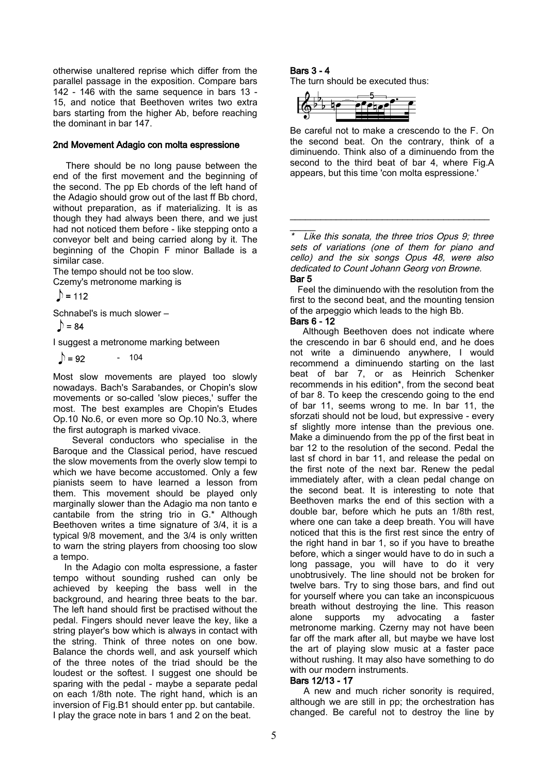otherwise unaltered reprise which differ from the parallel passage in the exposition. Compare bars 142 - 146 with the same sequence in bars 13 - 15, and notice that Beethoven writes two extra bars starting from the higher Ab, before reaching the dominant in bar 147.

#### 2nd Movement Adagio con molta espressione

 There should be no long pause between the end of the first movement and the beginning of the second. The pp Eb chords of the left hand of the Adagio should grow out of the last ff Bb chord, without preparation, as if materializing. It is as though they had always been there, and we just had not noticed them before - like stepping onto a conveyor belt and being carried along by it. The beginning of the Chopin F minor Ballade is a similar case.

The tempo should not be too slow. Czemy's metronome marking is

 $\mathcal{D}$  = 112

Schnabel's is much slower –

 $\bigcirc$  = 84

I suggest a metronome marking between

 $\mathbb{D} = 92$ - 104

Most slow movements are played too slowly nowadays. Bach's Sarabandes, or Chopin's slow movements or so-called 'slow pieces,' suffer the most. The best examples are Chopin's Etudes Op.10 No.6, or even more so Op.10 No.3, where the first autograph is marked vivace.

 Several conductors who specialise in the Baroque and the Classical period, have rescued the slow movements from the overly slow tempi to which we have become accustomed. Only a few pianists seem to have learned a lesson from them. This movement should be played only marginally slower than the Adagio ma non tanto e cantabile from the string trio in G.\* Although Beethoven writes a time signature of 3/4, it is a typical 9/8 movement, and the 3/4 is only written to warn the string players from choosing too slow a tempo.

 In the Adagio con molta espressione, a faster tempo without sounding rushed can only be achieved by keeping the bass well in the background, and hearing three beats to the bar. The left hand should first be practised without the pedal. Fingers should never leave the key, like a string player's bow which is always in contact with the string. Think of three notes on one bow. Balance the chords well, and ask yourself which of the three notes of the triad should be the loudest or the softest. I suggest one should be sparing with the pedal - maybe a separate pedal on each 1/8th note. The right hand, which is an inversion of Fig.B1 should enter pp. but cantabile. I play the grace note in bars 1 and 2 on the beat.

## Bars 3 - 4

The turn should be executed thus:



Be careful not to make a crescendo to the F. On the second beat. On the contrary, think of a diminuendo. Think also of a diminuendo from the second to the third beat of bar 4, where Fig.A appears, but this time 'con molta espressione.'

Like this sonata, the three trios Opus  $9$ ; three sets of variations (one of them for piano and cello) and the six songs Opus 48, were also dedicated to Count Johann Georg von Browne. Bar 5

\_\_\_\_\_\_\_\_\_\_\_\_\_\_\_\_\_\_\_\_\_\_\_\_\_\_\_\_\_\_\_\_\_\_\_\_\_\_\_

 Feel the diminuendo with the resolution from the first to the second beat, and the mounting tension of the arpeggio which leads to the high Bb.

## Bars 6 - 12

 $\overline{\phantom{a}}$ 

 Although Beethoven does not indicate where the crescendo in bar 6 should end, and he does not write a diminuendo anywhere, I would recommend a diminuendo starting on the last beat of bar 7, or as Heinrich Schenker recommends in his edition\*, from the second beat of bar 8. To keep the crescendo going to the end of bar 11, seems wrong to me. In bar 11, the sforzati should not be loud, but expressive - every sf slightly more intense than the previous one. Make a diminuendo from the pp of the first beat in bar 12 to the resolution of the second. Pedal the last sf chord in bar 11, and release the pedal on the first note of the next bar. Renew the pedal immediately after, with a clean pedal change on the second beat. It is interesting to note that Beethoven marks the end of this section with a double bar, before which he puts an 1/8th rest, where one can take a deep breath. You will have noticed that this is the first rest since the entry of the right hand in bar 1, so if you have to breathe before, which a singer would have to do in such a long passage, you will have to do it very unobtrusively. The line should not be broken for twelve bars. Try to sing those bars, and find out for yourself where you can take an inconspicuous breath without destroying the line. This reason alone supports my advocating a faster metronome marking. Czerny may not have been far off the mark after all, but maybe we have lost the art of playing slow music at a faster pace without rushing. It may also have something to do with our modern instruments.

## Bars 12/13 - 17

A new and much richer sonority is required. although we are still in pp; the orchestration has changed. Be careful not to destroy the line by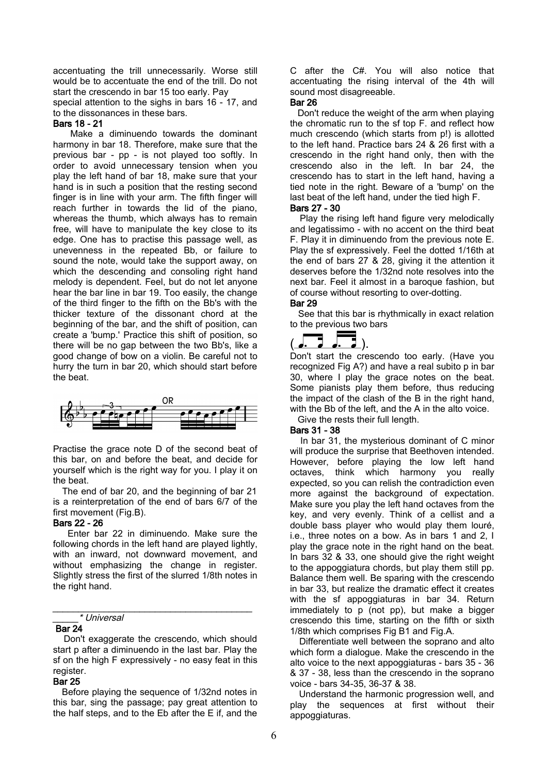accentuating the trill unnecessarily. Worse still would be to accentuate the end of the trill. Do not start the crescendo in bar 15 too early. Pay

special attention to the sighs in bars 16 - 17, and to the dissonances in these bars.

#### Bars 18 - 21

 Make a diminuendo towards the dominant harmony in bar 18. Therefore, make sure that the previous bar - pp - is not played too softly. In order to avoid unnecessary tension when you play the left hand of bar 18, make sure that your hand is in such a position that the resting second finger is in line with your arm. The fifth finger will reach further in towards the lid of the piano, whereas the thumb, which always has to remain free, will have to manipulate the key close to its edge. One has to practise this passage well, as unevenness in the repeated Bb, or failure to sound the note, would take the support away, on which the descending and consoling right hand melody is dependent. Feel, but do not let anyone hear the bar line in bar 19. Too easily, the change of the third finger to the fifth on the Bb's with the thicker texture of the dissonant chord at the beginning of the bar, and the shift of position, can create a 'bump.' Practice this shift of position, so there will be no gap between the two Bb's, like a good change of bow on a violin. Be careful not to hurry the turn in bar 20, which should start before the beat.



Practise the grace note D of the second beat of this bar, on and before the beat, and decide for yourself which is the right way for you. I play it on the beat.

 The end of bar 20, and the beginning of bar 21 is a reinterpretation of the end of bars 6/7 of the first movement (Fig.B).

#### Bars 22 - 26

 Enter bar 22 in diminuendo. Make sure the following chords in the left hand are played lightly, with an inward, not downward movement, and without emphasizing the change in register. Slightly stress the first of the slurred 1/8th notes in the right hand.

#### \_\_\_\_\_\_\_\_\_\_\_\_\_\_\_\_\_\_\_\_\_\_\_\_\_\_\_\_\_\_\_\_\_\_\_\_\_\_\_ \_\_\_\_\_\* Universal

#### Bar 24

 Don't exaggerate the crescendo, which should start p after a diminuendo in the last bar. Play the sf on the high F expressively - no easy feat in this register.

#### Bar 25

 Before playing the sequence of 1/32nd notes in this bar, sing the passage; pay great attention to the half steps, and to the Eb after the E if, and the

C after the C#. You will also notice that accentuating the rising interval of the 4th will sound most disagreeable.

#### Bar 26

 Don't reduce the weight of the arm when playing the chromatic run to the sf top F. and reflect how much crescendo (which starts from p!) is allotted to the left hand. Practice bars 24 & 26 first with a crescendo in the right hand only, then with the crescendo also in the left. In bar 24, the crescendo has to start in the left hand, having a tied note in the right. Beware of a 'bump' on the last beat of the left hand, under the tied high F.

Bars 27 - 30

 Play the rising left hand figure very melodically and legatissimo - with no accent on the third beat F. Play it in diminuendo from the previous note E. Play the sf expressively. Feel the dotted 1/16th at the end of bars 27 & 28, giving it the attention it deserves before the 1/32nd note resolves into the next bar. Feel it almost in a baroque fashion, but of course without resorting to over-dotting.

#### Bar 29

 See that this bar is rhythmically in exact relation to the previous two bars



Don't start the crescendo too early. (Have you recognized Fig A?) and have a real subito p in bar 30, where I play the grace notes on the beat. Some pianists play them before, thus reducing the impact of the clash of the B in the right hand, with the Bb of the left, and the A in the alto voice. Give the rests their full length.

## Bars 31 - 38

 In bar 31, the mysterious dominant of C minor will produce the surprise that Beethoven intended. However, before playing the low left hand octaves, think which harmony you really expected, so you can relish the contradiction even more against the background of expectation. Make sure you play the left hand octaves from the key, and very evenly. Think of a cellist and a double bass player who would play them louré, i.e., three notes on a bow. As in bars 1 and 2, I play the grace note in the right hand on the beat. In bars 32 & 33, one should give the right weight to the appoggiatura chords, but play them still pp. Balance them well. Be sparing with the crescendo in bar 33, but realize the dramatic effect it creates with the sf appoggiaturas in bar 34. Return immediately to p (not pp), but make a bigger crescendo this time, starting on the fifth or sixth 1/8th which comprises Fig B1 and Fig.A.

 Differentiate well between the soprano and alto which form a dialogue. Make the crescendo in the alto voice to the next appoggiaturas - bars 35 - 36 & 37 - 38, less than the crescendo in the soprano voice - bars 34-35, 36-37 & 38.

 Understand the harmonic progression well, and play the sequences at first without their appoggiaturas.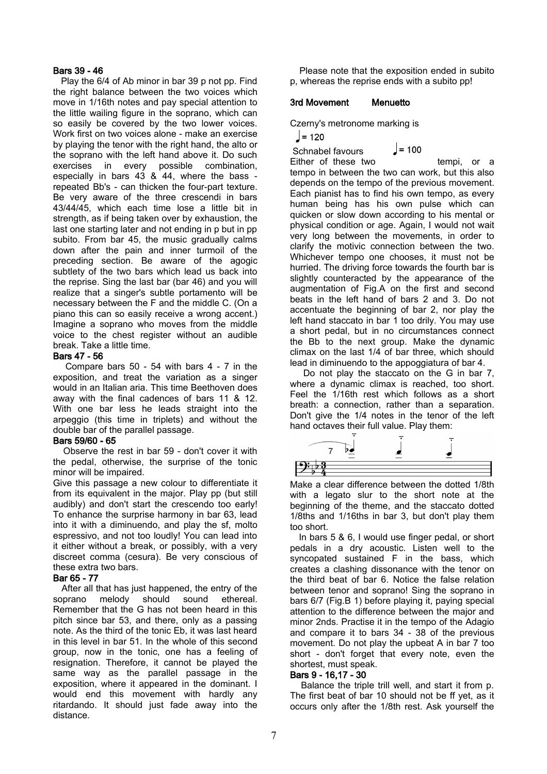## Bars 39 - 46

 Play the 6/4 of Ab minor in bar 39 p not pp. Find the right balance between the two voices which move in 1/16th notes and pay special attention to the little wailing figure in the soprano, which can so easily be covered by the two lower voices. Work first on two voices alone - make an exercise by playing the tenor with the right hand, the alto or the soprano with the left hand above it. Do such exercises in every possible combination, especially in bars 43 & 44, where the bass repeated Bb's - can thicken the four-part texture. Be very aware of the three crescendi in bars 43/44/45, which each time lose a little bit in strength, as if being taken over by exhaustion, the last one starting later and not ending in p but in pp subito. From bar 45, the music gradually calms down after the pain and inner turmoil of the preceding section. Be aware of the agogic subtlety of the two bars which lead us back into the reprise. Sing the last bar (bar 46) and you will realize that a singer's subtle portamento will be necessary between the F and the middle C. (On a piano this can so easily receive a wrong accent.) Imagine a soprano who moves from the middle voice to the chest register without an audible break. Take a little time.

#### Bars 47 - 56

 Compare bars 50 - 54 with bars 4 - 7 in the exposition, and treat the variation as a singer would in an Italian aria. This time Beethoven does away with the final cadences of bars 11 & 12. With one bar less he leads straight into the arpeggio (this time in triplets) and without the double bar of the parallel passage.

#### Bars 59/60 - 65

 Observe the rest in bar 59 - don't cover it with the pedal, otherwise, the surprise of the tonic minor will be impaired.

Give this passage a new colour to differentiate it from its equivalent in the major. Play pp (but still audibly) and don't start the crescendo too early! To enhance the surprise harmony in bar 63, lead into it with a diminuendo, and play the sf, molto espressivo, and not too loudly! You can lead into it either without a break, or possibly, with a very discreet comma (cesura). Be very conscious of these extra two bars.

## Bar 65 - 77

 After all that has just happened, the entry of the soprano melody should sound ethereal. Remember that the G has not been heard in this pitch since bar 53, and there, only as a passing note. As the third of the tonic Eb, it was last heard in this level in bar 51. In the whole of this second group, now in the tonic, one has a feeling of resignation. Therefore, it cannot be played the same way as the parallel passage in the exposition, where it appeared in the dominant. I would end this movement with hardly any ritardando. It should just fade away into the distance.

 Please note that the exposition ended in subito p, whereas the reprise ends with a subito pp!

#### 3rd Movement Menuetto

Czerny's metronome marking is

 $J = 120$ 

 $\vert$  = 100 Schnabel favours

Either of these two tempi, or a tempo in between the two can work, but this also depends on the tempo of the previous movement. Each pianist has to find his own tempo, as every human being has his own pulse which can quicken or slow down according to his mental or physical condition or age. Again, I would not wait very long between the movements, in order to clarify the motivic connection between the two. Whichever tempo one chooses, it must not be hurried. The driving force towards the fourth bar is slightly counteracted by the appearance of the augmentation of Fig.A on the first and second beats in the left hand of bars 2 and 3. Do not accentuate the beginning of bar 2, nor play the left hand staccato in bar 1 too drily. You may use a short pedal, but in no circumstances connect the Bb to the next group. Make the dynamic climax on the last 1/4 of bar three, which should lead in diminuendo to the appoggiatura of bar 4.

 Do not play the staccato on the G in bar 7, where a dynamic climax is reached, too short. Feel the 1/16th rest which follows as a short breath: a connection, rather than a separation. Don't give the 1/4 notes in the tenor of the left hand octaves their full value. Play them:



Make a clear difference between the dotted 1/8th with a legato slur to the short note at the beginning of the theme, and the staccato dotted 1/8ths and 1/16ths in bar 3, but don't play them too short.

 In bars 5 & 6, I would use finger pedal, or short pedals in a dry acoustic. Listen well to the syncopated sustained F in the bass, which creates a clashing dissonance with the tenor on the third beat of bar 6. Notice the false relation between tenor and soprano! Sing the soprano in bars 6/7 (Fig.B 1) before playing it, paying special attention to the difference between the major and minor 2nds. Practise it in the tempo of the Adagio and compare it to bars 34 - 38 of the previous movement. Do not play the upbeat A in bar 7 too short - don't forget that every note, even the shortest, must speak.

## Bars 9 - 16,17 - 30

 Balance the triple trill well, and start it from p. The first beat of bar 10 should not be ff yet, as it occurs only after the 1/8th rest. Ask yourself the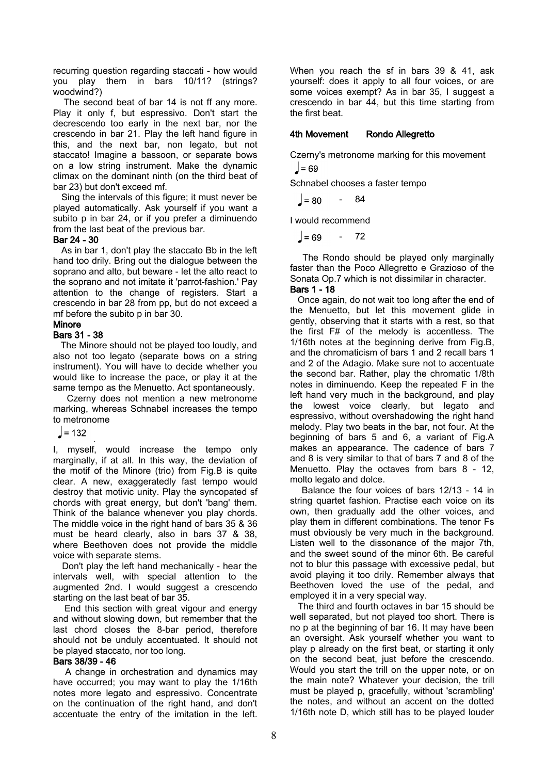recurring question regarding staccati - how would you play them in bars 10/11? (strings? woodwind?)

 The second beat of bar 14 is not ff any more. Play it only f, but espressivo. Don't start the decrescendo too early in the next bar, nor the crescendo in bar 21. Play the left hand figure in this, and the next bar, non legato, but not staccato! Imagine a bassoon, or separate bows on a low string instrument. Make the dynamic climax on the dominant ninth (on the third beat of bar 23) but don't exceed mf.

 Sing the intervals of this figure; it must never be played automatically. Ask yourself if you want a subito p in bar 24, or if you prefer a diminuendo from the last beat of the previous bar.

#### Bar 24 - 30

 As in bar 1, don't play the staccato Bb in the left hand too drily. Bring out the dialogue between the soprano and alto, but beware - let the alto react to the soprano and not imitate it 'parrot-fashion.' Pay attention to the change of registers. Start a crescendo in bar 28 from pp, but do not exceed a mf before the subito p in bar 30.

#### Minore Bars 31 - 38

 The Minore should not be played too loudly, and also not too legato (separate bows on a string instrument). You will have to decide whether you would like to increase the pace, or play it at the same tempo as the Menuetto. Act spontaneously.

 Czerny does not mention a new metronome marking, whereas Schnabel increases the tempo to metronome

 $J = 132$ 

 . I, myself, would increase the tempo only marginally, if at all. In this way, the deviation of the motif of the Minore (trio) from Fig.B is quite clear. A new, exaggeratedly fast tempo would destroy that motivic unity. Play the syncopated sf chords with great energy, but don't 'bang' them. Think of the balance whenever you play chords. The middle voice in the right hand of bars 35 & 36 must be heard clearly, also in bars 37 & 38, where Beethoven does not provide the middle voice with separate stems.

 Don't play the left hand mechanically - hear the intervals well, with special attention to the augmented 2nd. I would suggest a crescendo starting on the last beat of bar 35.

 End this section with great vigour and energy and without slowing down, but remember that the last chord closes the 8-bar period, therefore should not be unduly accentuated. It should not be played staccato, nor too long.

## Bars 38/39 - 46

 A change in orchestration and dynamics may have occurred; you may want to play the 1/16th notes more legato and espressivo. Concentrate on the continuation of the right hand, and don't accentuate the entry of the imitation in the left.

When you reach the sf in bars 39 & 41, ask yourself: does it apply to all four voices, or are some voices exempt? As in bar 35, I suggest a crescendo in bar 44, but this time starting from the first beat.

## 4th Movement Rondo Allegretto

Czerny's metronome marking for this movement  $\vert$  = 69

Schnabel chooses a faster tempo

 $= 80$ - 84

I would recommend

 $= 69$ - 72

 The Rondo should be played only marginally faster than the Poco Allegretto e Grazioso of the Sonata Op.7 which is not dissimilar in character.

#### Bars 1 - 18

 Once again, do not wait too long after the end of the Menuetto, but let this movement glide in gently, observing that it starts with a rest, so that the first F# of the melody is accentless. The 1/16th notes at the beginning derive from Fig.B, and the chromaticism of bars 1 and 2 recall bars 1 and 2 of the Adagio. Make sure not to accentuate the second bar. Rather, play the chromatic 1/8th notes in diminuendo. Keep the repeated F in the left hand very much in the background, and play the lowest voice clearly, but legato and espressivo, without overshadowing the right hand melody. Play two beats in the bar, not four. At the beginning of bars 5 and 6, a variant of Fig.A makes an appearance. The cadence of bars 7 and 8 is very similar to that of bars 7 and 8 of the Menuetto. Play the octaves from bars 8 - 12, molto legato and dolce.

 Balance the four voices of bars 12/13 - 14 in string quartet fashion. Practise each voice on its own, then gradually add the other voices, and play them in different combinations. The tenor Fs must obviously be very much in the background. Listen well to the dissonance of the major 7th, and the sweet sound of the minor 6th. Be careful not to blur this passage with excessive pedal, but avoid playing it too drily. Remember always that Beethoven loved the use of the pedal, and employed it in a very special way.

 The third and fourth octaves in bar 15 should be well separated, but not played too short. There is no p at the beginning of bar 16. It may have been an oversight. Ask yourself whether you want to play p already on the first beat, or starting it only on the second beat, just before the crescendo. Would you start the trill on the upper note, or on the main note? Whatever your decision, the trill must be played p, gracefully, without 'scrambling' the notes, and without an accent on the dotted 1/16th note D, which still has to be played louder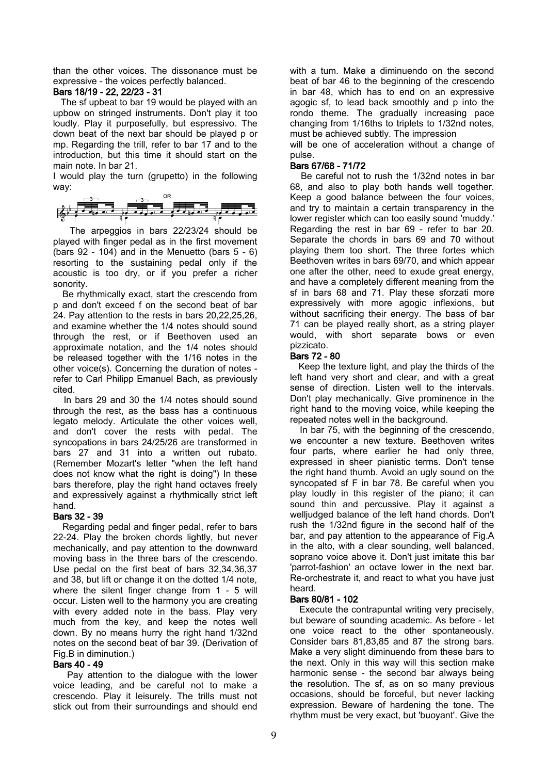than the other voices. The dissonance must be expressive - the voices perfectly balanced.

#### Bars 18/19 - 22, 22/23 - 31

 The sf upbeat to bar 19 would be played with an upbow on stringed instruments. Don't play it too loudly. Play it purposefully, but espressivo. The down beat of the next bar should be played p or mp. Regarding the trill, refer to bar 17 and to the introduction, but this time it should start on the main note. In bar 21.

I would play the turn (grupetto) in the following way:



 The arpeggios in bars 22/23/24 should be played with finger pedal as in the first movement (bars  $92 - 104$ ) and in the Menuetto (bars  $5 - 6$ ) resorting to the sustaining pedal only if the acoustic is too dry, or if you prefer a richer sonority.

 Be rhythmically exact, start the crescendo from p and don't exceed f on the second beat of bar 24. Pay attention to the rests in bars 20,22,25,26, and examine whether the 1/4 notes should sound through the rest, or if Beethoven used an approximate notation, and the 1/4 notes should be released together with the 1/16 notes in the other voice(s). Concerning the duration of notes refer to Carl Philipp Emanuel Bach, as previously cited.

 In bars 29 and 30 the 1/4 notes should sound through the rest, as the bass has a continuous legato melody. Articulate the other voices well, and don't cover the rests with pedal. The syncopations in bars 24/25/26 are transformed in bars 27 and 31 into a written out rubato. (Remember Mozart's letter "when the left hand does not know what the right is doing") In these bars therefore, play the right hand octaves freely and expressively against a rhythmically strict left hand.

## Bars 32 - 39

 Regarding pedal and finger pedal, refer to bars 22-24. Play the broken chords lightly, but never mechanically, and pay attention to the downward moving bass in the three bars of the crescendo. Use pedal on the first beat of bars 32,34,36,37 and 38, but lift or change it on the dotted 1/4 note, where the silent finger change from 1 - 5 will occur. Listen well to the harmony you are creating with every added note in the bass. Play very much from the key, and keep the notes well down. By no means hurry the right hand 1/32nd notes on the second beat of bar 39. (Derivation of Fig.B in diminution.)

## Bars 40 - 49

 Pay attention to the dialogue with the lower voice leading, and be careful not to make a crescendo. Play it leisurely. The trills must not stick out from their surroundings and should end

with a tum. Make a diminuendo on the second beat of bar 46 to the beginning of the crescendo in bar 48, which has to end on an expressive agogic sf, to lead back smoothly and p into the rondo theme. The gradually increasing pace changing from 1/16ths to triplets to 1/32nd notes, must be achieved subtly. The impression

will be one of acceleration without a change of pulse.

## Bars 67/68 - 71/72

 Be careful not to rush the 1/32nd notes in bar 68, and also to play both hands well together. Keep a good balance between the four voices, and try to maintain a certain transparency in the lower register which can too easily sound 'muddy.' Regarding the rest in bar 69 - refer to bar 20. Separate the chords in bars 69 and 70 without playing them too short. The three fortes which Beethoven writes in bars 69/70, and which appear one after the other, need to exude great energy, and have a completely different meaning from the sf in bars 68 and 71. Play these sforzati more expressively with more agogic inflexions, but without sacrificing their energy. The bass of bar 71 can be played really short, as a string player would, with short separate bows or even pizzicato.

## Bars 72 - 80

 Keep the texture light, and play the thirds of the left hand very short and clear, and with a great sense of direction. Listen well to the intervals. Don't play mechanically. Give prominence in the right hand to the moving voice, while keeping the repeated notes well in the background.

 In bar 75, with the beginning of the crescendo, we encounter a new texture. Beethoven writes four parts, where earlier he had only three, expressed in sheer pianistic terms. Don't tense the right hand thumb. Avoid an ugly sound on the syncopated sf F in bar 78. Be careful when you play loudly in this register of the piano; it can sound thin and percussive. Play it against a welljudged balance of the left hand chords. Don't rush the 1/32nd figure in the second half of the bar, and pay attention to the appearance of Fig.A in the alto, with a clear sounding, well balanced, soprano voice above it. Don't just imitate this bar 'parrot-fashion' an octave lower in the next bar. Re-orchestrate it, and react to what you have just heard.

## Bars 80/81 - 102

 Execute the contrapuntal writing very precisely, but beware of sounding academic. As before - let one voice react to the other spontaneously. Consider bars 81,83,85 and 87 the strong bars. Make a very slight diminuendo from these bars to the next. Only in this way will this section make harmonic sense - the second bar always being the resolution. The sf, as on so many previous occasions, should be forceful, but never lacking expression. Beware of hardening the tone. The rhythm must be very exact, but 'buoyant'. Give the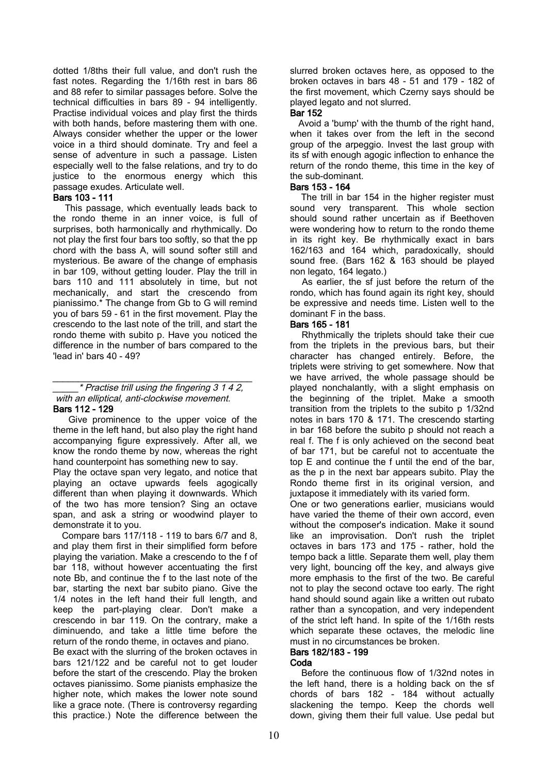dotted 1/8ths their full value, and don't rush the fast notes. Regarding the 1/16th rest in bars 86 and 88 refer to similar passages before. Solve the technical difficulties in bars 89 - 94 intelligently. Practise individual voices and play first the thirds with both hands, before mastering them with one. Always consider whether the upper or the lower voice in a third should dominate. Try and feel a sense of adventure in such a passage. Listen especially well to the false relations, and try to do justice to the enormous energy which this passage exudes. Articulate well.

#### Bars 103 - 111

 This passage, which eventually leads back to the rondo theme in an inner voice, is full of surprises, both harmonically and rhythmically. Do not play the first four bars too softly, so that the pp chord with the bass A, will sound softer still and mysterious. Be aware of the change of emphasis in bar 109, without getting louder. Play the trill in bars 110 and 111 absolutely in time, but not mechanically, and start the crescendo from pianissimo.\* The change from Gb to G will remind you of bars 59 - 61 in the first movement. Play the crescendo to the last note of the trill, and start the rondo theme with subito p. Have you noticed the difference in the number of bars compared to the 'lead in' bars 40 - 49?

#### **Practise trill using the fingering 3 1 4 2,** with an elliptical, anti-clockwise movement. Bars 112 - 129

 Give prominence to the upper voice of the theme in the left hand, but also play the right hand accompanying figure expressively. After all, we know the rondo theme by now, whereas the right hand counterpoint has something new to say.

Play the octave span very legato, and notice that playing an octave upwards feels agogically different than when playing it downwards. Which of the two has more tension? Sing an octave span, and ask a string or woodwind player to demonstrate it to you.

 Compare bars 117/118 - 119 to bars 6/7 and 8, and play them first in their simplified form before playing the variation. Make a crescendo to the f of bar 118, without however accentuating the first note Bb, and continue the f to the last note of the bar, starting the next bar subito piano. Give the 1/4 notes in the left hand their full length, and keep the part-playing clear. Don't make a crescendo in bar 119. On the contrary, make a diminuendo, and take a little time before the return of the rondo theme, in octaves and piano. Be exact with the slurring of the broken octaves in bars 121/122 and be careful not to get louder before the start of the crescendo. Play the broken octaves pianissimo. Some pianists emphasize the higher note, which makes the lower note sound like a grace note. (There is controversy regarding this practice.) Note the difference between the

slurred broken octaves here, as opposed to the broken octaves in bars 48 - 51 and 179 - 182 of the first movement, which Czerny says should be played legato and not slurred.

#### Bar 152

 Avoid a 'bump' with the thumb of the right hand, when it takes over from the left in the second group of the arpeggio. Invest the last group with its sf with enough agogic inflection to enhance the return of the rondo theme, this time in the key of the sub-dominant.

#### Bars 153 - 164

 The trill in bar 154 in the higher register must sound very transparent. This whole section should sound rather uncertain as if Beethoven were wondering how to return to the rondo theme in its right key. Be rhythmically exact in bars 162/163 and 164 which, paradoxically, should sound free. (Bars 162 & 163 should be played non legato, 164 legato.)

 As earlier, the sf just before the return of the rondo, which has found again its right key, should be expressive and needs time. Listen well to the dominant F in the bass.

#### Bars 165 - 181

 Rhythmically the triplets should take their cue from the triplets in the previous bars, but their character has changed entirely. Before, the triplets were striving to get somewhere. Now that we have arrived, the whole passage should be played nonchalantly, with a slight emphasis on the beginning of the triplet. Make a smooth transition from the triplets to the subito p 1/32nd notes in bars 170 & 171. The crescendo starting in bar 168 before the subito p should not reach a real f. The f is only achieved on the second beat of bar 171, but be careful not to accentuate the top E and continue the f until the end of the bar, as the p in the next bar appears subito. Play the Rondo theme first in its original version, and juxtapose it immediately with its varied form.

One or two generations earlier, musicians would have varied the theme of their own accord, even without the composer's indication. Make it sound like an improvisation. Don't rush the triplet octaves in bars 173 and 175 - rather, hold the tempo back a little. Separate them well, play them very light, bouncing off the key, and always give more emphasis to the first of the two. Be careful not to play the second octave too early. The right hand should sound again like a written out rubato rather than a syncopation, and very independent of the strict left hand. In spite of the 1/16th rests which separate these octaves, the melodic line must in no circumstances be broken.

# Bars 182/183 - 199

## Coda

 Before the continuous flow of 1/32nd notes in the left hand, there is a holding back on the sf chords of bars 182 - 184 without actually slackening the tempo. Keep the chords well down, giving them their full value. Use pedal but